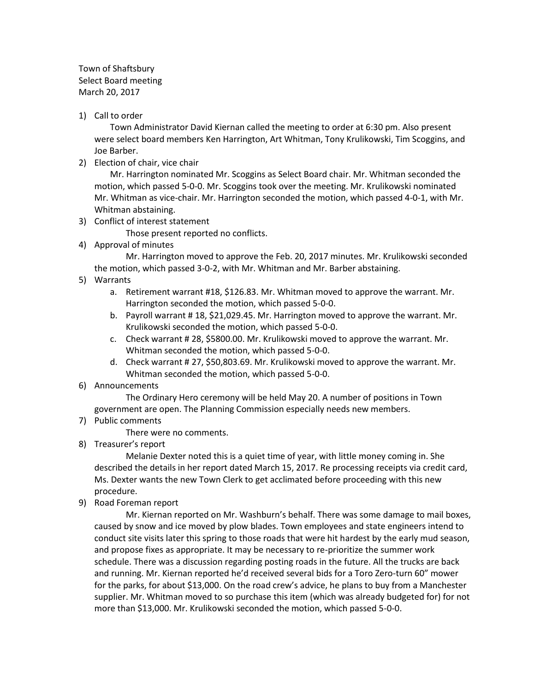Town of Shaftsbury Select Board meeting March 20, 2017

1) Call to order

Town Administrator David Kiernan called the meeting to order at 6:30 pm. Also present were select board members Ken Harrington, Art Whitman, Tony Krulikowski, Tim Scoggins, and Joe Barber.

2) Election of chair, vice chair

Mr. Harrington nominated Mr. Scoggins as Select Board chair. Mr. Whitman seconded the motion, which passed 5-0-0. Mr. Scoggins took over the meeting. Mr. Krulikowski nominated Mr. Whitman as vice-chair. Mr. Harrington seconded the motion, which passed 4-0-1, with Mr. Whitman abstaining.

3) Conflict of interest statement

Those present reported no conflicts.

4) Approval of minutes

Mr. Harrington moved to approve the Feb. 20, 2017 minutes. Mr. Krulikowski seconded the motion, which passed 3-0-2, with Mr. Whitman and Mr. Barber abstaining.

- 5) Warrants
	- a. Retirement warrant #18, \$126.83. Mr. Whitman moved to approve the warrant. Mr. Harrington seconded the motion, which passed 5-0-0.
	- b. Payroll warrant # 18, \$21,029.45. Mr. Harrington moved to approve the warrant. Mr. Krulikowski seconded the motion, which passed 5-0-0.
	- c. Check warrant # 28, \$5800.00. Mr. Krulikowski moved to approve the warrant. Mr. Whitman seconded the motion, which passed 5-0-0.
	- d. Check warrant # 27, \$50,803.69. Mr. Krulikowski moved to approve the warrant. Mr. Whitman seconded the motion, which passed 5-0-0.
- 6) Announcements

The Ordinary Hero ceremony will be held May 20. A number of positions in Town government are open. The Planning Commission especially needs new members.

7) Public comments

There were no comments.

8) Treasurer's report

Melanie Dexter noted this is a quiet time of year, with little money coming in. She described the details in her report dated March 15, 2017. Re processing receipts via credit card, Ms. Dexter wants the new Town Clerk to get acclimated before proceeding with this new procedure.

9) Road Foreman report

Mr. Kiernan reported on Mr. Washburn's behalf. There was some damage to mail boxes, caused by snow and ice moved by plow blades. Town employees and state engineers intend to conduct site visits later this spring to those roads that were hit hardest by the early mud season, and propose fixes as appropriate. It may be necessary to re-prioritize the summer work schedule. There was a discussion regarding posting roads in the future. All the trucks are back and running. Mr. Kiernan reported he'd received several bids for a Toro Zero-turn 60" mower for the parks, for about \$13,000. On the road crew's advice, he plans to buy from a Manchester supplier. Mr. Whitman moved to so purchase this item (which was already budgeted for) for not more than \$13,000. Mr. Krulikowski seconded the motion, which passed 5-0-0.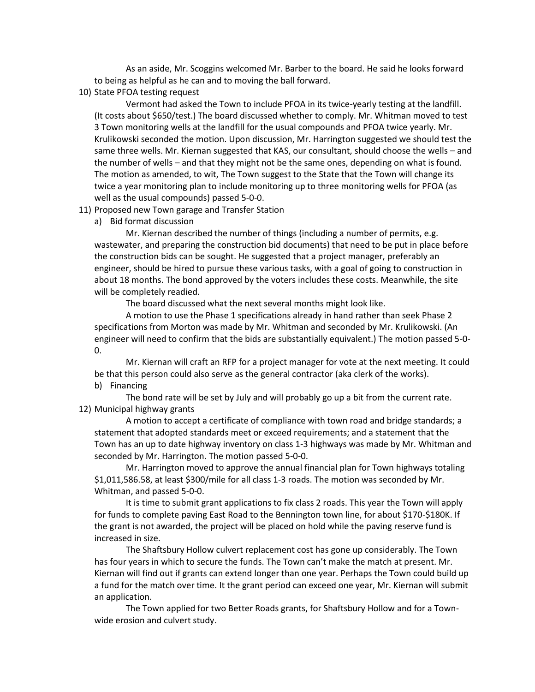As an aside, Mr. Scoggins welcomed Mr. Barber to the board. He said he looks forward to being as helpful as he can and to moving the ball forward.

10) State PFOA testing request

Vermont had asked the Town to include PFOA in its twice-yearly testing at the landfill. (It costs about \$650/test.) The board discussed whether to comply. Mr. Whitman moved to test 3 Town monitoring wells at the landfill for the usual compounds and PFOA twice yearly. Mr. Krulikowski seconded the motion. Upon discussion, Mr. Harrington suggested we should test the same three wells. Mr. Kiernan suggested that KAS, our consultant, should choose the wells – and the number of wells – and that they might not be the same ones, depending on what is found. The motion as amended, to wit, The Town suggest to the State that the Town will change its twice a year monitoring plan to include monitoring up to three monitoring wells for PFOA (as well as the usual compounds) passed 5-0-0.

## 11) Proposed new Town garage and Transfer Station

a) Bid format discussion

Mr. Kiernan described the number of things (including a number of permits, e.g. wastewater, and preparing the construction bid documents) that need to be put in place before the construction bids can be sought. He suggested that a project manager, preferably an engineer, should be hired to pursue these various tasks, with a goal of going to construction in about 18 months. The bond approved by the voters includes these costs. Meanwhile, the site will be completely readied.

The board discussed what the next several months might look like.

A motion to use the Phase 1 specifications already in hand rather than seek Phase 2 specifications from Morton was made by Mr. Whitman and seconded by Mr. Krulikowski. (An engineer will need to confirm that the bids are substantially equivalent.) The motion passed 5-0- 0.

Mr. Kiernan will craft an RFP for a project manager for vote at the next meeting. It could be that this person could also serve as the general contractor (aka clerk of the works).

## b) Financing

The bond rate will be set by July and will probably go up a bit from the current rate. 12) Municipal highway grants

A motion to accept a certificate of compliance with town road and bridge standards; a statement that adopted standards meet or exceed requirements; and a statement that the Town has an up to date highway inventory on class 1-3 highways was made by Mr. Whitman and seconded by Mr. Harrington. The motion passed 5-0-0.

Mr. Harrington moved to approve the annual financial plan for Town highways totaling \$1,011,586.58, at least \$300/mile for all class 1-3 roads. The motion was seconded by Mr. Whitman, and passed 5-0-0.

It is time to submit grant applications to fix class 2 roads. This year the Town will apply for funds to complete paving East Road to the Bennington town line, for about \$170-\$180K. If the grant is not awarded, the project will be placed on hold while the paving reserve fund is increased in size.

The Shaftsbury Hollow culvert replacement cost has gone up considerably. The Town has four years in which to secure the funds. The Town can't make the match at present. Mr. Kiernan will find out if grants can extend longer than one year. Perhaps the Town could build up a fund for the match over time. It the grant period can exceed one year, Mr. Kiernan will submit an application.

The Town applied for two Better Roads grants, for Shaftsbury Hollow and for a Townwide erosion and culvert study.